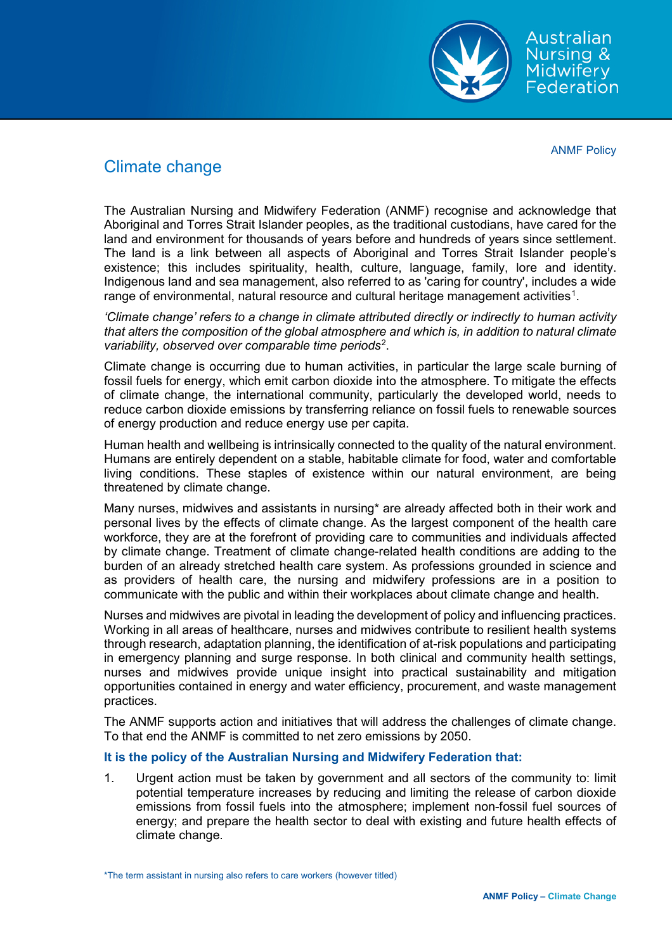

Australian Nursing & Midwifery Federation

ANMF Policy

## Climate change

The Australian Nursing and Midwifery Federation (ANMF) recognise and acknowledge that Aboriginal and Torres Strait Islander peoples, as the traditional custodians, have cared for the land and environment for thousands of years before and hundreds of years since settlement. The land is a link between all aspects of Aboriginal and Torres Strait Islander people's existence; this includes spirituality, health, culture, language, family, lore and identity. Indigenous land and sea management, also referred to as 'caring for country', includes a wide range of environmental, natural resource and cultural heritage management activities $^{\rm 1}.$  $^{\rm 1}.$  $^{\rm 1}.$ 

*'Climate change' refers to a change in climate attributed directly or indirectly to human activity that alters the composition of the global atmosphere and which is, in addition to natural climate variability, observed over comparable time periods*[2](#page-2-1) .

Climate change is occurring due to human activities, in particular the large scale burning of fossil fuels for energy, which emit carbon dioxide into the atmosphere. To mitigate the effects of climate change, the international community, particularly the developed world, needs to reduce carbon dioxide emissions by transferring reliance on fossil fuels to renewable sources of energy production and reduce energy use per capita.

Human health and wellbeing is intrinsically connected to the quality of the natural environment. Humans are entirely dependent on a stable, habitable climate for food, water and comfortable living conditions. These staples of existence within our natural environment, are being threatened by climate change.

Many nurses, midwives and assistants in nursing\* are already affected both in their work and personal lives by the effects of climate change. As the largest component of the health care workforce, they are at the forefront of providing care to communities and individuals affected by climate change. Treatment of climate change-related health conditions are adding to the burden of an already stretched health care system. As professions grounded in science and as providers of health care, the nursing and midwifery professions are in a position to communicate with the public and within their workplaces about climate change and health.

Nurses and midwives are pivotal in leading the development of policy and influencing practices. Working in all areas of healthcare, nurses and midwives contribute to resilient health systems through research, adaptation planning, the identification of at-risk populations and participating in emergency planning and surge response. In both clinical and community health settings, nurses and midwives provide unique insight into practical sustainability and mitigation opportunities contained in energy and water efficiency, procurement, and waste management practices.

The ANMF supports action and initiatives that will address the challenges of climate change. To that end the ANMF is committed to net zero emissions by 2050.

## **It is the policy of the Australian Nursing and Midwifery Federation that:**

1. Urgent action must be taken by government and all sectors of the community to: limit potential temperature increases by reducing and limiting the release of carbon dioxide emissions from fossil fuels into the atmosphere; implement non-fossil fuel sources of energy; and prepare the health sector to deal with existing and future health effects of climate change.

\*The term assistant in nursing also refers to care workers (however titled)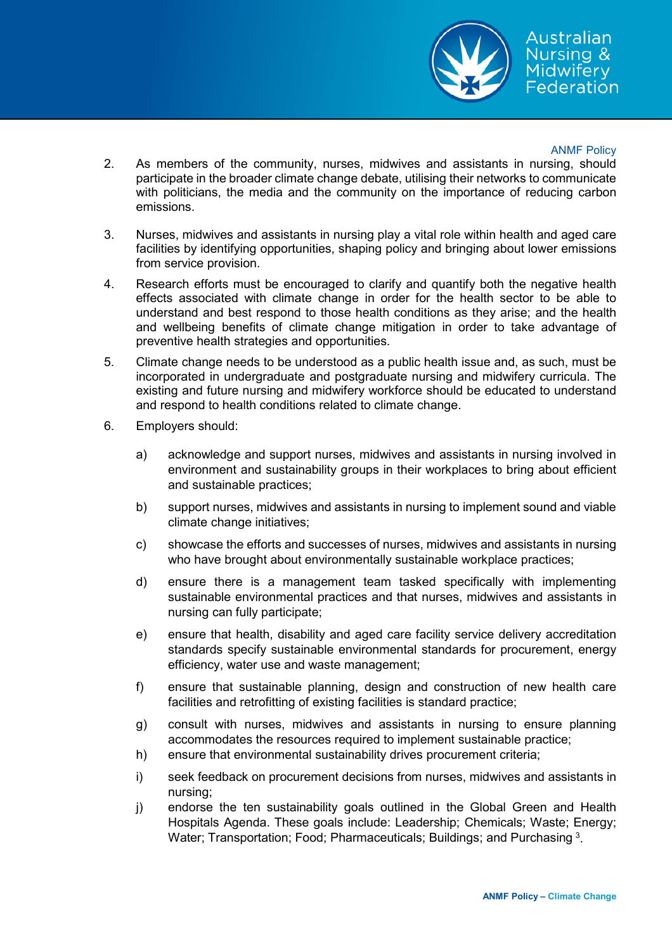

## ANMF Policy

- 2. As members of the community, nurses, midwives and assistants in nursing, should participate in the broader climate change debate, utilising their networks to communicate with politicians, the media and the community on the importance of reducing carbon emissions.
- 3. Nurses, midwives and assistants in nursing play a vital role within health and aged care facilities by identifying opportunities, shaping policy and bringing about lower emissions from service provision.
- 4. Research efforts must be encouraged to clarify and quantify both the negative health effects associated with climate change in order for the health sector to be able to understand and best respond to those health conditions as they arise; and the health and wellbeing benefits of climate change mitigation in order to take advantage of preventive health strategies and opportunities.
- 5. Climate change needs to be understood as a public health issue and, as such, must be incorporated in undergraduate and postgraduate nursing and midwifery curricula. The existing and future nursing and midwifery workforce should be educated to understand and respond to health conditions related to climate change.
- 6. Employers should:
	- a) acknowledge and support nurses, midwives and assistants in nursing involved in environment and sustainability groups in their workplaces to bring about efficient and sustainable practices;
	- b) support nurses, midwives and assistants in nursing to implement sound and viable climate change initiatives;
	- c) showcase the efforts and successes of nurses, midwives and assistants in nursing who have brought about environmentally sustainable workplace practices;
	- d) ensure there is a management team tasked specifically with implementing sustainable environmental practices and that nurses, midwives and assistants in nursing can fully participate;
	- e) ensure that health, disability and aged care facility service delivery accreditation standards specify sustainable environmental standards for procurement, energy efficiency, water use and waste management;
	- f) ensure that sustainable planning, design and construction of new health care facilities and retrofitting of existing facilities is standard practice;
	- g) consult with nurses, midwives and assistants in nursing to ensure planning accommodates the resources required to implement sustainable practice;
	- h) ensure that environmental sustainability drives procurement criteria;
	- i) seek feedback on procurement decisions from nurses, midwives and assistants in nursing;
	- j) endorse the ten sustainability goals outlined in the Global Green and Health Hospitals Agenda. These goals include: Leadership; Chemicals; Waste; Energy; Water; Transportation; Food; Pharmaceuticals; Buildings; and Purchasing  $^3$  $^3$ .